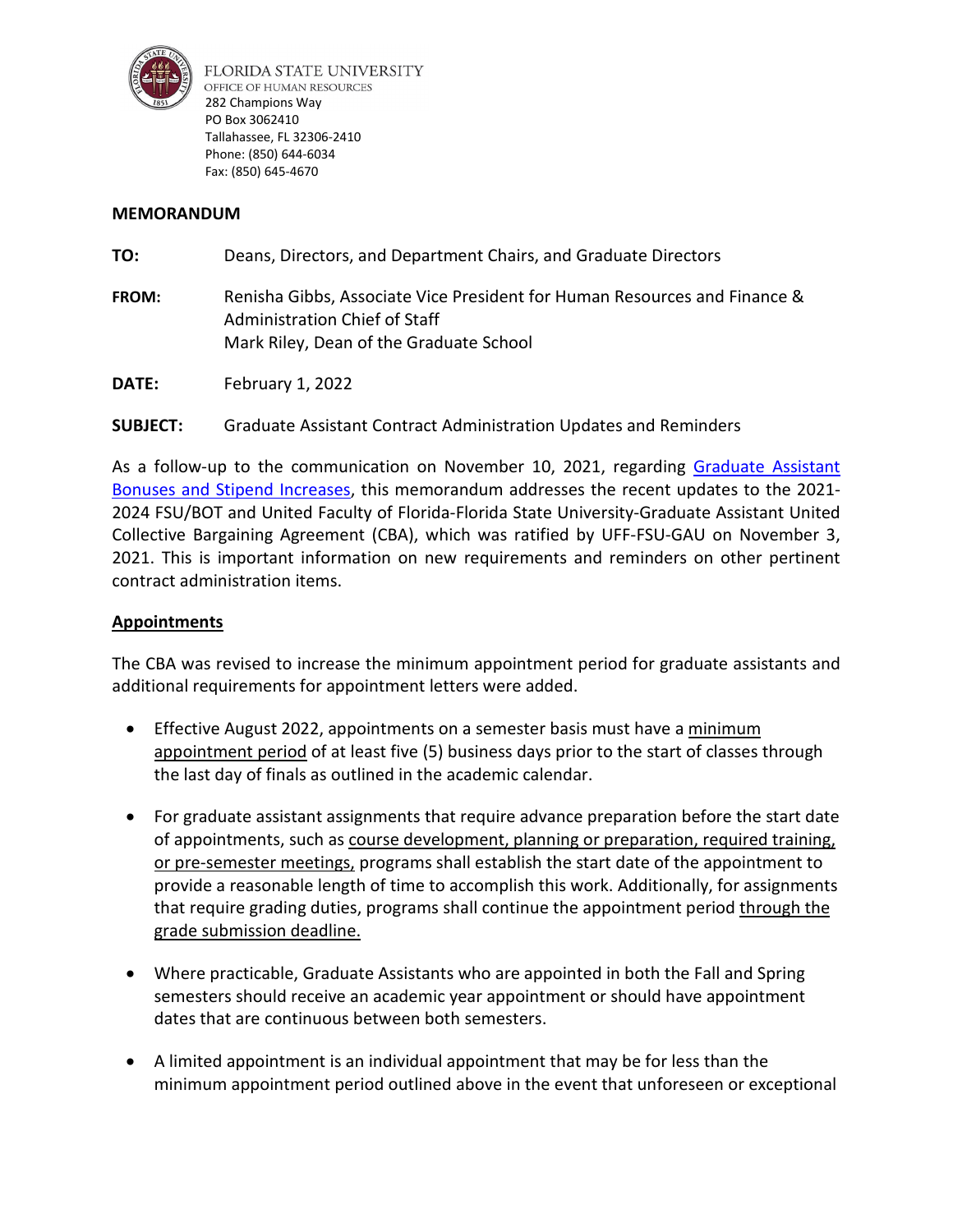

FLORIDA STATE UNIVERSITY OFFICE OF HUMAN RESOURCES 282 Champions Way PO Box 3062410 Tallahassee, FL 32306-2410 Phone: (850) 644-6034 Fax: (850) 645-4670

### **MEMORANDUM**

| TO:          | Deans, Directors, and Department Chairs, and Graduate Directors                                                                                       |
|--------------|-------------------------------------------------------------------------------------------------------------------------------------------------------|
| <b>FROM:</b> | Renisha Gibbs, Associate Vice President for Human Resources and Finance &<br>Administration Chief of Staff<br>Mark Riley, Dean of the Graduate School |

**DATE:** February 1, 2022

# **SUBJECT:** Graduate Assistant Contract Administration Updates and Reminders

As a follow-up to the communication on November 10, 2021, regarding [Graduate Assistant](https://hr.fsu.edu/sites/g/files/upcbnu2186/files/PDF/GA%20Stipend%20Memo%202021-2022_2022-2023.pdf)  [Bonuses and Stipend Increases,](https://hr.fsu.edu/sites/g/files/upcbnu2186/files/PDF/GA%20Stipend%20Memo%202021-2022_2022-2023.pdf) this memorandum addresses the recent updates to the 2021- 2024 FSU/BOT and United Faculty of Florida-Florida State University-Graduate Assistant United Collective Bargaining Agreement (CBA), which was ratified by UFF-FSU-GAU on November 3, 2021. This is important information on new requirements and reminders on other pertinent contract administration items.

### **Appointments**

The CBA was revised to increase the minimum appointment period for graduate assistants and additional requirements for appointment letters were added.

- Effective August 2022, appointments on a semester basis must have a minimum appointment period of at least five (5) business days prior to the start of classes through the last day of finals as outlined in the academic calendar.
- For graduate assistant assignments that require advance preparation before the start date of appointments, such as course development, planning or preparation, required training, or pre-semester meetings, programs shall establish the start date of the appointment to provide a reasonable length of time to accomplish this work. Additionally, for assignments that require grading duties, programs shall continue the appointment period through the grade submission deadline.
- Where practicable, Graduate Assistants who are appointed in both the Fall and Spring semesters should receive an academic year appointment or should have appointment dates that are continuous between both semesters.
- A limited appointment is an individual appointment that may be for less than the minimum appointment period outlined above in the event that unforeseen or exceptional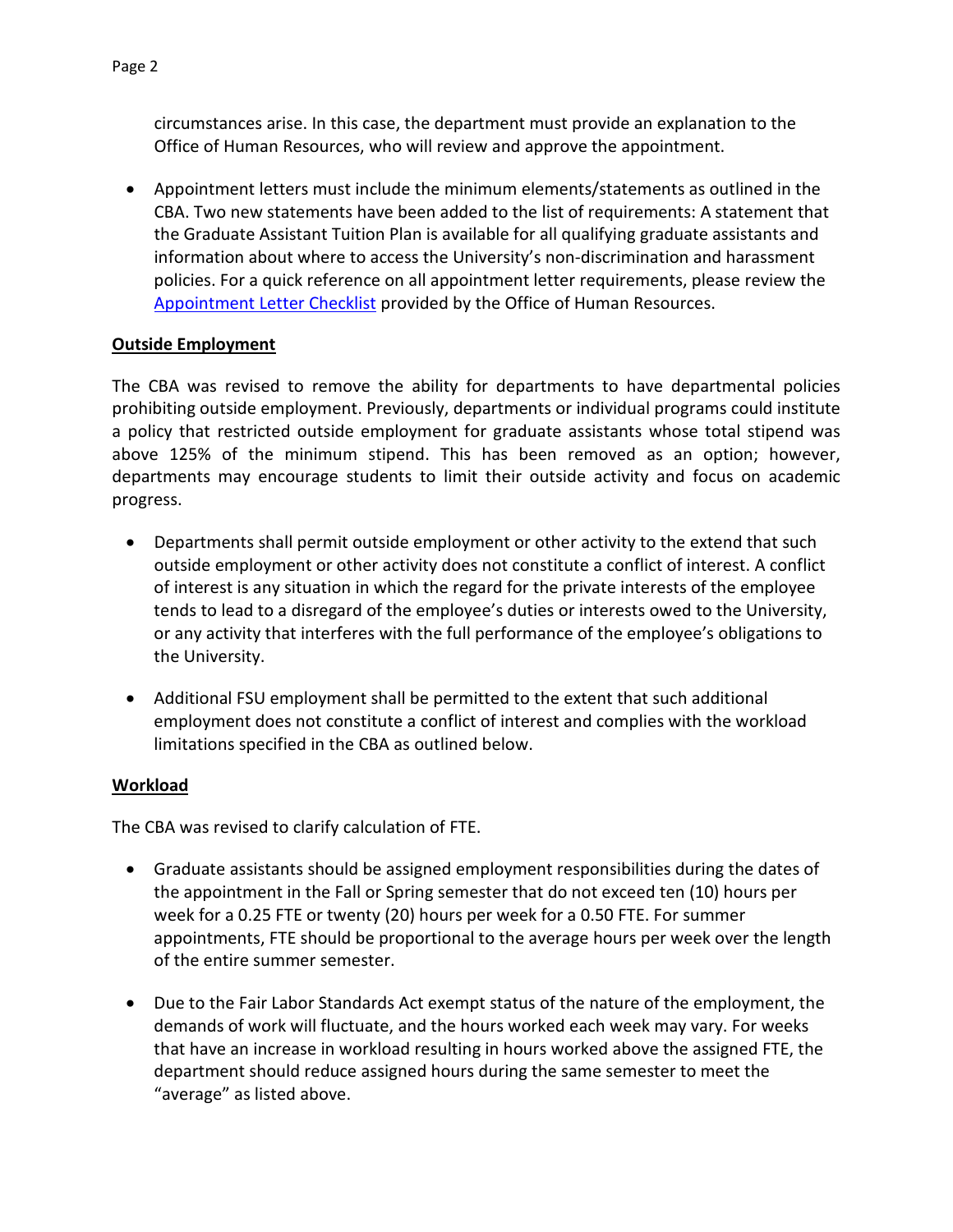circumstances arise. In this case, the department must provide an explanation to the Office of Human Resources, who will review and approve the appointment.

• Appointment letters must include the minimum elements/statements as outlined in the CBA. Two new statements have been added to the list of requirements: A statement that the Graduate Assistant Tuition Plan is available for all qualifying graduate assistants and information about where to access the University's non-discrimination and harassment policies. For a quick reference on all appointment letter requirements, please review the [Appointment Letter Checklist](https://hr.fsu.edu/sites/g/files/upcbnu2186/files/PDF/docs/faculty-relations/GA%20Appointment%20Letter%20Checklist%2021-22.pdf) provided by the Office of Human Resources.

#### **Outside Employment**

The CBA was revised to remove the ability for departments to have departmental policies prohibiting outside employment. Previously, departments or individual programs could institute a policy that restricted outside employment for graduate assistants whose total stipend was above 125% of the minimum stipend. This has been removed as an option; however, departments may encourage students to limit their outside activity and focus on academic progress.

- Departments shall permit outside employment or other activity to the extend that such outside employment or other activity does not constitute a conflict of interest. A conflict of interest is any situation in which the regard for the private interests of the employee tends to lead to a disregard of the employee's duties or interests owed to the University, or any activity that interferes with the full performance of the employee's obligations to the University.
- Additional FSU employment shall be permitted to the extent that such additional employment does not constitute a conflict of interest and complies with the workload limitations specified in the CBA as outlined below.

#### **Workload**

The CBA was revised to clarify calculation of FTE.

- Graduate assistants should be assigned employment responsibilities during the dates of the appointment in the Fall or Spring semester that do not exceed ten (10) hours per week for a 0.25 FTE or twenty (20) hours per week for a 0.50 FTE. For summer appointments, FTE should be proportional to the average hours per week over the length of the entire summer semester.
- Due to the Fair Labor Standards Act exempt status of the nature of the employment, the demands of work will fluctuate, and the hours worked each week may vary. For weeks that have an increase in workload resulting in hours worked above the assigned FTE, the department should reduce assigned hours during the same semester to meet the "average" as listed above.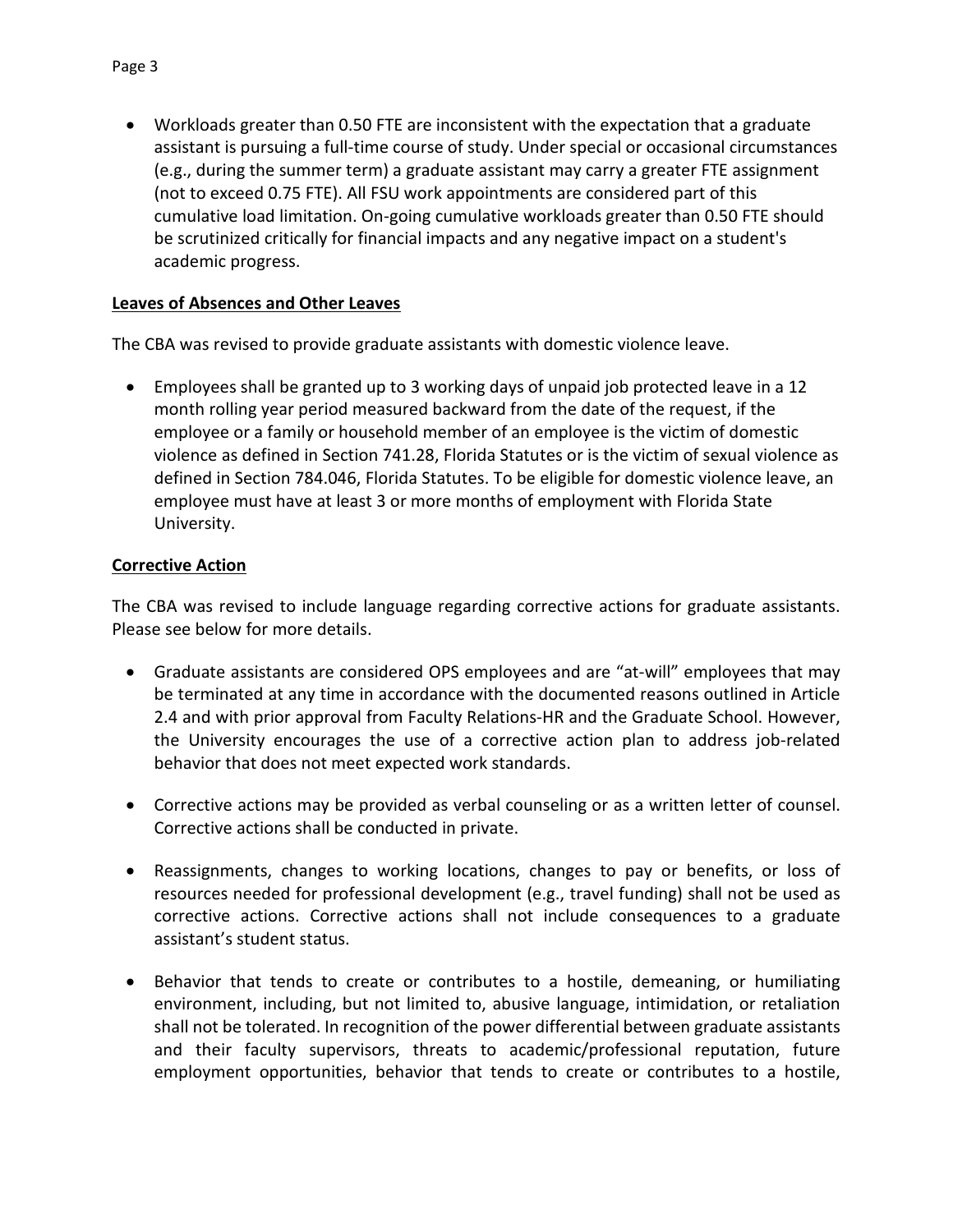• Workloads greater than 0.50 FTE are inconsistent with the expectation that a graduate assistant is pursuing a full-time course of study. Under special or occasional circumstances (e.g., during the summer term) a graduate assistant may carry a greater FTE assignment (not to exceed 0.75 FTE). All FSU work appointments are considered part of this cumulative load limitation. On-going cumulative workloads greater than 0.50 FTE should be scrutinized critically for financial impacts and any negative impact on a student's academic progress.

### **Leaves of Absences and Other Leaves**

The CBA was revised to provide graduate assistants with domestic violence leave.

• Employees shall be granted up to 3 working days of unpaid job protected leave in a 12 month rolling year period measured backward from the date of the request, if the employee or a family or household member of an employee is the victim of domestic violence as defined in Section 741.28, Florida Statutes or is the victim of sexual violence as defined in Section 784.046, Florida Statutes. To be eligible for domestic violence leave, an employee must have at least 3 or more months of employment with Florida State University.

#### **Corrective Action**

The CBA was revised to include language regarding corrective actions for graduate assistants. Please see below for more details.

- Graduate assistants are considered OPS employees and are "at-will" employees that may be terminated at any time in accordance with the documented reasons outlined in Article 2.4 and with prior approval from Faculty Relations-HR and the Graduate School. However, the University encourages the use of a corrective action plan to address job-related behavior that does not meet expected work standards.
- Corrective actions may be provided as verbal counseling or as a written letter of counsel. Corrective actions shall be conducted in private.
- Reassignments, changes to working locations, changes to pay or benefits, or loss of resources needed for professional development (e.g., travel funding) shall not be used as corrective actions. Corrective actions shall not include consequences to a graduate assistant's student status.
- Behavior that tends to create or contributes to a hostile, demeaning, or humiliating environment, including, but not limited to, abusive language, intimidation, or retaliation shall not be tolerated. In recognition of the power differential between graduate assistants and their faculty supervisors, threats to academic/professional reputation, future employment opportunities, behavior that tends to create or contributes to a hostile,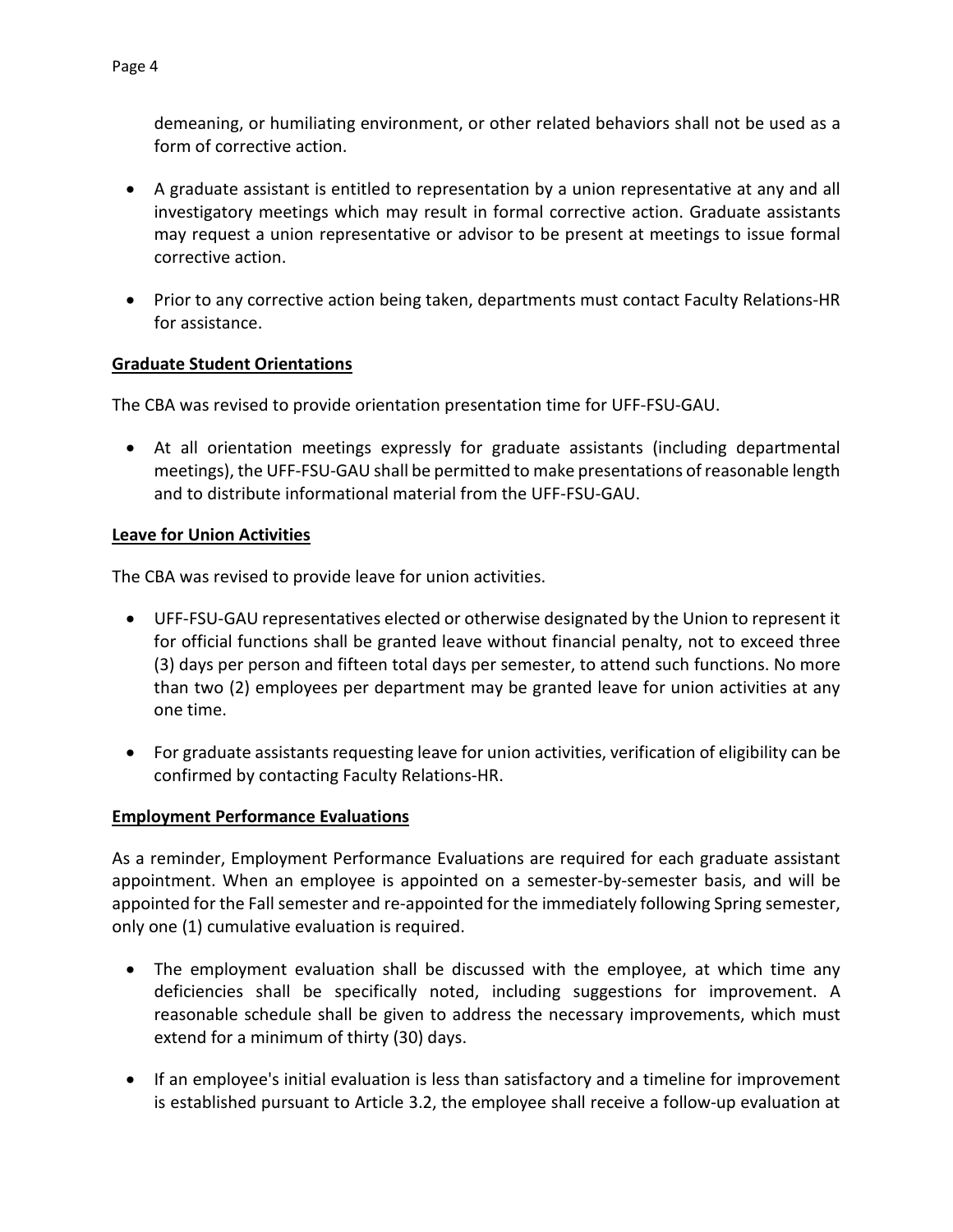demeaning, or humiliating environment, or other related behaviors shall not be used as a form of corrective action.

- A graduate assistant is entitled to representation by a union representative at any and all investigatory meetings which may result in formal corrective action. Graduate assistants may request a union representative or advisor to be present at meetings to issue formal corrective action.
- Prior to any corrective action being taken, departments must contact Faculty Relations-HR for assistance.

# **Graduate Student Orientations**

The CBA was revised to provide orientation presentation time for UFF-FSU-GAU.

• At all orientation meetings expressly for graduate assistants (including departmental meetings), the UFF-FSU-GAU shall be permitted to make presentations of reasonable length and to distribute informational material from the UFF-FSU-GAU.

# **Leave for Union Activities**

The CBA was revised to provide leave for union activities.

- UFF-FSU-GAU representatives elected or otherwise designated by the Union to represent it for official functions shall be granted leave without financial penalty, not to exceed three (3) days per person and fifteen total days per semester, to attend such functions. No more than two (2) employees per department may be granted leave for union activities at any one time.
- For graduate assistants requesting leave for union activities, verification of eligibility can be confirmed by contacting Faculty Relations-HR.

# **Employment Performance Evaluations**

As a reminder, Employment Performance Evaluations are required for each graduate assistant appointment. When an employee is appointed on a semester-by-semester basis, and will be appointed for the Fall semester and re-appointed for the immediately following Spring semester, only one (1) cumulative evaluation is required.

- The employment evaluation shall be discussed with the employee, at which time any deficiencies shall be specifically noted, including suggestions for improvement. A reasonable schedule shall be given to address the necessary improvements, which must extend for a minimum of thirty (30) days.
- If an employee's initial evaluation is less than satisfactory and a timeline for improvement is established pursuant to Article 3.2, the employee shall receive a follow-up evaluation at